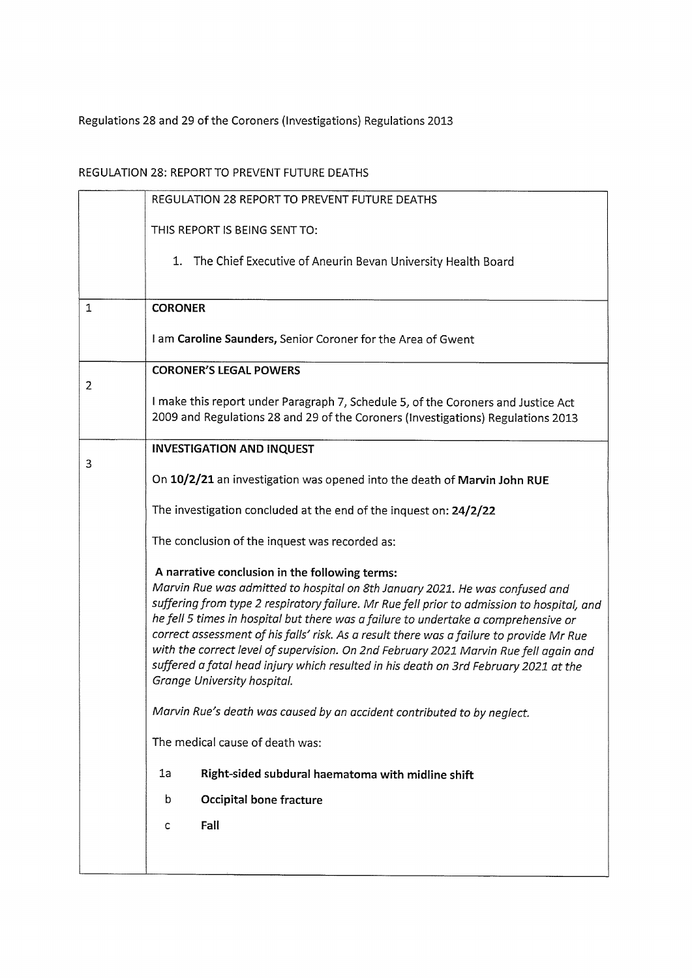## Regulations 28 and 29 of the Coroners (Investigations) Regulations 2013

## REGULATION 28: REPORT TO PREVENT FUTURE DEATHS

|                | REGULATION 28 REPORT TO PREVENT FUTURE DEATHS                                                                                                                                                                                                                                                                                                                                                                                                                                                                                                                                                                                   |
|----------------|---------------------------------------------------------------------------------------------------------------------------------------------------------------------------------------------------------------------------------------------------------------------------------------------------------------------------------------------------------------------------------------------------------------------------------------------------------------------------------------------------------------------------------------------------------------------------------------------------------------------------------|
|                | THIS REPORT IS BEING SENT TO:                                                                                                                                                                                                                                                                                                                                                                                                                                                                                                                                                                                                   |
|                | 1. The Chief Executive of Aneurin Bevan University Health Board                                                                                                                                                                                                                                                                                                                                                                                                                                                                                                                                                                 |
| $\mathbf{1}$   | <b>CORONER</b>                                                                                                                                                                                                                                                                                                                                                                                                                                                                                                                                                                                                                  |
|                | I am Caroline Saunders, Senior Coroner for the Area of Gwent                                                                                                                                                                                                                                                                                                                                                                                                                                                                                                                                                                    |
| $\overline{2}$ | <b>CORONER'S LEGAL POWERS</b>                                                                                                                                                                                                                                                                                                                                                                                                                                                                                                                                                                                                   |
|                | I make this report under Paragraph 7, Schedule 5, of the Coroners and Justice Act<br>2009 and Regulations 28 and 29 of the Coroners (Investigations) Regulations 2013                                                                                                                                                                                                                                                                                                                                                                                                                                                           |
| 3              | <b>INVESTIGATION AND INQUEST</b>                                                                                                                                                                                                                                                                                                                                                                                                                                                                                                                                                                                                |
|                | On 10/2/21 an investigation was opened into the death of Marvin John RUE                                                                                                                                                                                                                                                                                                                                                                                                                                                                                                                                                        |
|                | The investigation concluded at the end of the inquest on: 24/2/22                                                                                                                                                                                                                                                                                                                                                                                                                                                                                                                                                               |
|                | The conclusion of the inquest was recorded as:                                                                                                                                                                                                                                                                                                                                                                                                                                                                                                                                                                                  |
|                | A narrative conclusion in the following terms:<br>Marvin Rue was admitted to hospital on 8th January 2021. He was confused and<br>suffering from type 2 respiratory failure. Mr Rue fell prior to admission to hospital, and<br>he fell 5 times in hospital but there was a failure to undertake a comprehensive or<br>correct assessment of his falls' risk. As a result there was a failure to provide Mr Rue<br>with the correct level of supervision. On 2nd February 2021 Marvin Rue fell again and<br>suffered a fatal head injury which resulted in his death on 3rd February 2021 at the<br>Grange University hospital. |
|                | Marvin Rue's death was caused by an accident contributed to by neglect.                                                                                                                                                                                                                                                                                                                                                                                                                                                                                                                                                         |
|                | The medical cause of death was:                                                                                                                                                                                                                                                                                                                                                                                                                                                                                                                                                                                                 |
|                | 1a<br>Right-sided subdural haematoma with midline shift                                                                                                                                                                                                                                                                                                                                                                                                                                                                                                                                                                         |
|                | <b>Occipital bone fracture</b><br>b                                                                                                                                                                                                                                                                                                                                                                                                                                                                                                                                                                                             |
|                | Fall<br>c                                                                                                                                                                                                                                                                                                                                                                                                                                                                                                                                                                                                                       |
|                |                                                                                                                                                                                                                                                                                                                                                                                                                                                                                                                                                                                                                                 |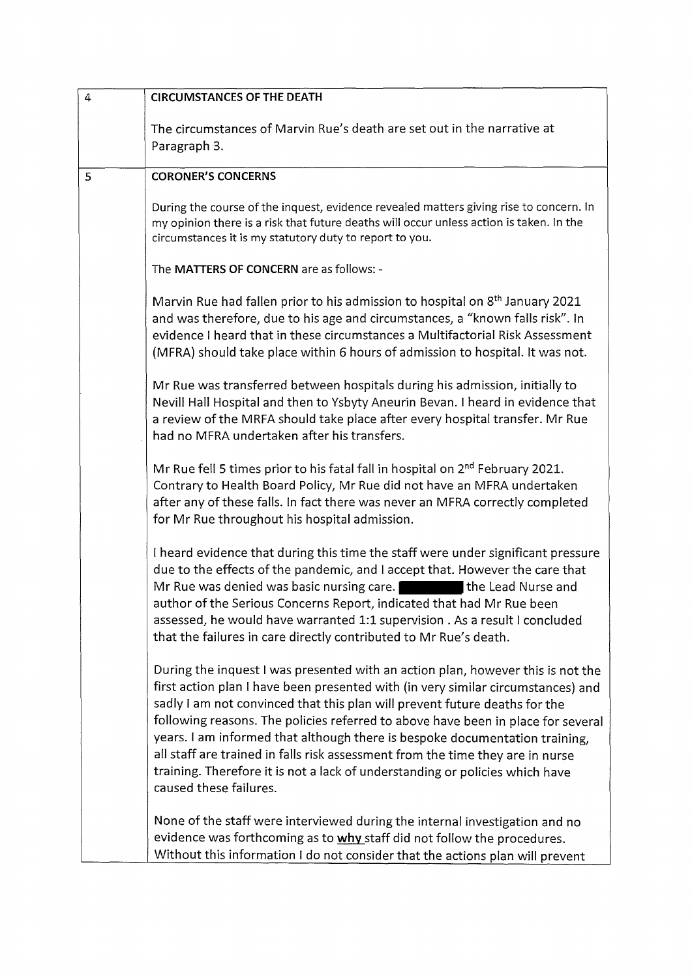| $\overline{4}$ | <b>CIRCUMSTANCES OF THE DEATH</b>                                                                                                                                                                                                                                                                                                                                                                                                                                                                                                                                                                                |
|----------------|------------------------------------------------------------------------------------------------------------------------------------------------------------------------------------------------------------------------------------------------------------------------------------------------------------------------------------------------------------------------------------------------------------------------------------------------------------------------------------------------------------------------------------------------------------------------------------------------------------------|
|                | The circumstances of Marvin Rue's death are set out in the narrative at<br>Paragraph 3.                                                                                                                                                                                                                                                                                                                                                                                                                                                                                                                          |
| 5              | <b>CORONER'S CONCERNS</b>                                                                                                                                                                                                                                                                                                                                                                                                                                                                                                                                                                                        |
|                | During the course of the inquest, evidence revealed matters giving rise to concern. In<br>my opinion there is a risk that future deaths will occur unless action is taken. In the<br>circumstances it is my statutory duty to report to you.                                                                                                                                                                                                                                                                                                                                                                     |
|                | The MATTERS OF CONCERN are as follows: -                                                                                                                                                                                                                                                                                                                                                                                                                                                                                                                                                                         |
|                | Marvin Rue had fallen prior to his admission to hospital on 8 <sup>th</sup> January 2021<br>and was therefore, due to his age and circumstances, a "known falls risk". In<br>evidence I heard that in these circumstances a Multifactorial Risk Assessment<br>(MFRA) should take place within 6 hours of admission to hospital. It was not.                                                                                                                                                                                                                                                                      |
|                | Mr Rue was transferred between hospitals during his admission, initially to<br>Nevill Hall Hospital and then to Ysbyty Aneurin Bevan. I heard in evidence that<br>a review of the MRFA should take place after every hospital transfer. Mr Rue<br>had no MFRA undertaken after his transfers.                                                                                                                                                                                                                                                                                                                    |
|                | Mr Rue fell 5 times prior to his fatal fall in hospital on 2 <sup>nd</sup> February 2021.<br>Contrary to Health Board Policy, Mr Rue did not have an MFRA undertaken<br>after any of these falls. In fact there was never an MFRA correctly completed<br>for Mr Rue throughout his hospital admission.                                                                                                                                                                                                                                                                                                           |
|                | I heard evidence that during this time the staff were under significant pressure<br>due to the effects of the pandemic, and I accept that. However the care that<br>Mr Rue was denied was basic nursing care.<br>the Lead Nurse and<br>author of the Serious Concerns Report, indicated that had Mr Rue been<br>assessed, he would have warranted 1:1 supervision . As a result I concluded<br>that the failures in care directly contributed to Mr Rue's death.                                                                                                                                                 |
|                | During the inquest I was presented with an action plan, however this is not the<br>first action plan I have been presented with (in very similar circumstances) and<br>sadly I am not convinced that this plan will prevent future deaths for the<br>following reasons. The policies referred to above have been in place for several<br>years. I am informed that although there is bespoke documentation training,<br>all staff are trained in falls risk assessment from the time they are in nurse<br>training. Therefore it is not a lack of understanding or policies which have<br>caused these failures. |
|                | None of the staff were interviewed during the internal investigation and no<br>evidence was forthcoming as to why staff did not follow the procedures.<br>Without this information I do not consider that the actions plan will prevent                                                                                                                                                                                                                                                                                                                                                                          |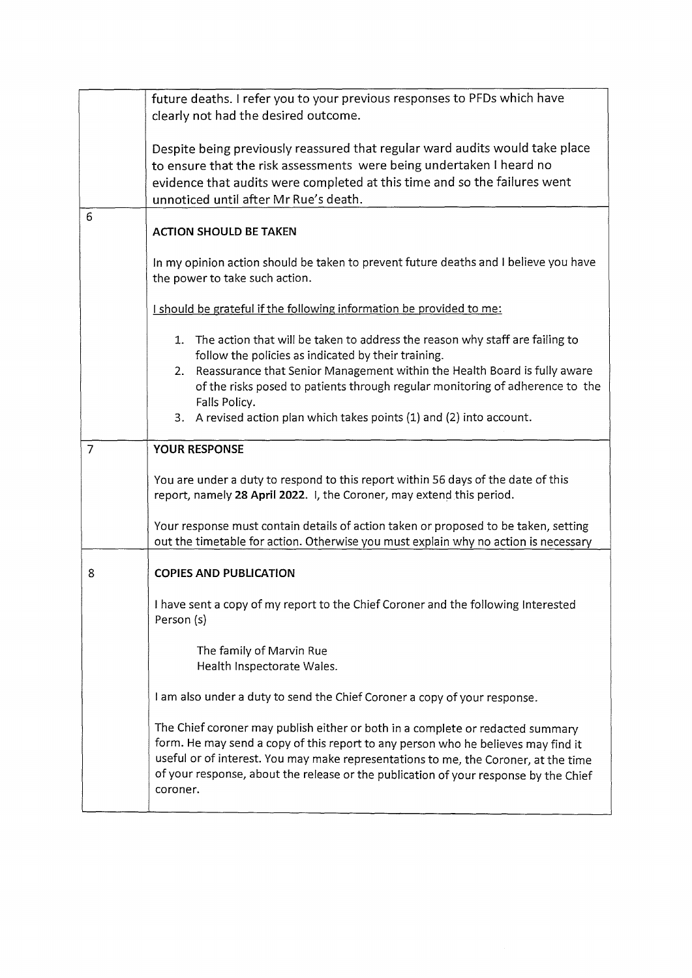|                | future deaths. I refer you to your previous responses to PFDs which have<br>clearly not had the desired outcome.                                                                                                                                                                                                                                                                                     |
|----------------|------------------------------------------------------------------------------------------------------------------------------------------------------------------------------------------------------------------------------------------------------------------------------------------------------------------------------------------------------------------------------------------------------|
|                | Despite being previously reassured that regular ward audits would take place<br>to ensure that the risk assessments were being undertaken I heard no<br>evidence that audits were completed at this time and so the failures went<br>unnoticed until after Mr Rue's death.                                                                                                                           |
| 6              | <b>ACTION SHOULD BE TAKEN</b>                                                                                                                                                                                                                                                                                                                                                                        |
|                | In my opinion action should be taken to prevent future deaths and I believe you have<br>the power to take such action.                                                                                                                                                                                                                                                                               |
|                | I should be grateful if the following information be provided to me:                                                                                                                                                                                                                                                                                                                                 |
|                | 1. The action that will be taken to address the reason why staff are failing to<br>follow the policies as indicated by their training.<br>Reassurance that Senior Management within the Health Board is fully aware<br>2.<br>of the risks posed to patients through regular monitoring of adherence to the<br>Falls Policy.<br>3. A revised action plan which takes points (1) and (2) into account. |
| $\overline{7}$ | <b>YOUR RESPONSE</b>                                                                                                                                                                                                                                                                                                                                                                                 |
|                | You are under a duty to respond to this report within 56 days of the date of this<br>report, namely 28 April 2022. I, the Coroner, may extend this period.                                                                                                                                                                                                                                           |
|                | Your response must contain details of action taken or proposed to be taken, setting<br>out the timetable for action. Otherwise you must explain why no action is necessary                                                                                                                                                                                                                           |
| 8              | <b>COPIES AND PUBLICATION</b>                                                                                                                                                                                                                                                                                                                                                                        |
|                | I have sent a copy of my report to the Chief Coroner and the following Interested<br>Person (s)                                                                                                                                                                                                                                                                                                      |
|                | The family of Marvin Rue<br>Health Inspectorate Wales.                                                                                                                                                                                                                                                                                                                                               |
|                | I am also under a duty to send the Chief Coroner a copy of your response.                                                                                                                                                                                                                                                                                                                            |
|                | The Chief coroner may publish either or both in a complete or redacted summary<br>form. He may send a copy of this report to any person who he believes may find it<br>useful or of interest. You may make representations to me, the Coroner, at the time<br>of your response, about the release or the publication of your response by the Chief<br>coroner.                                       |